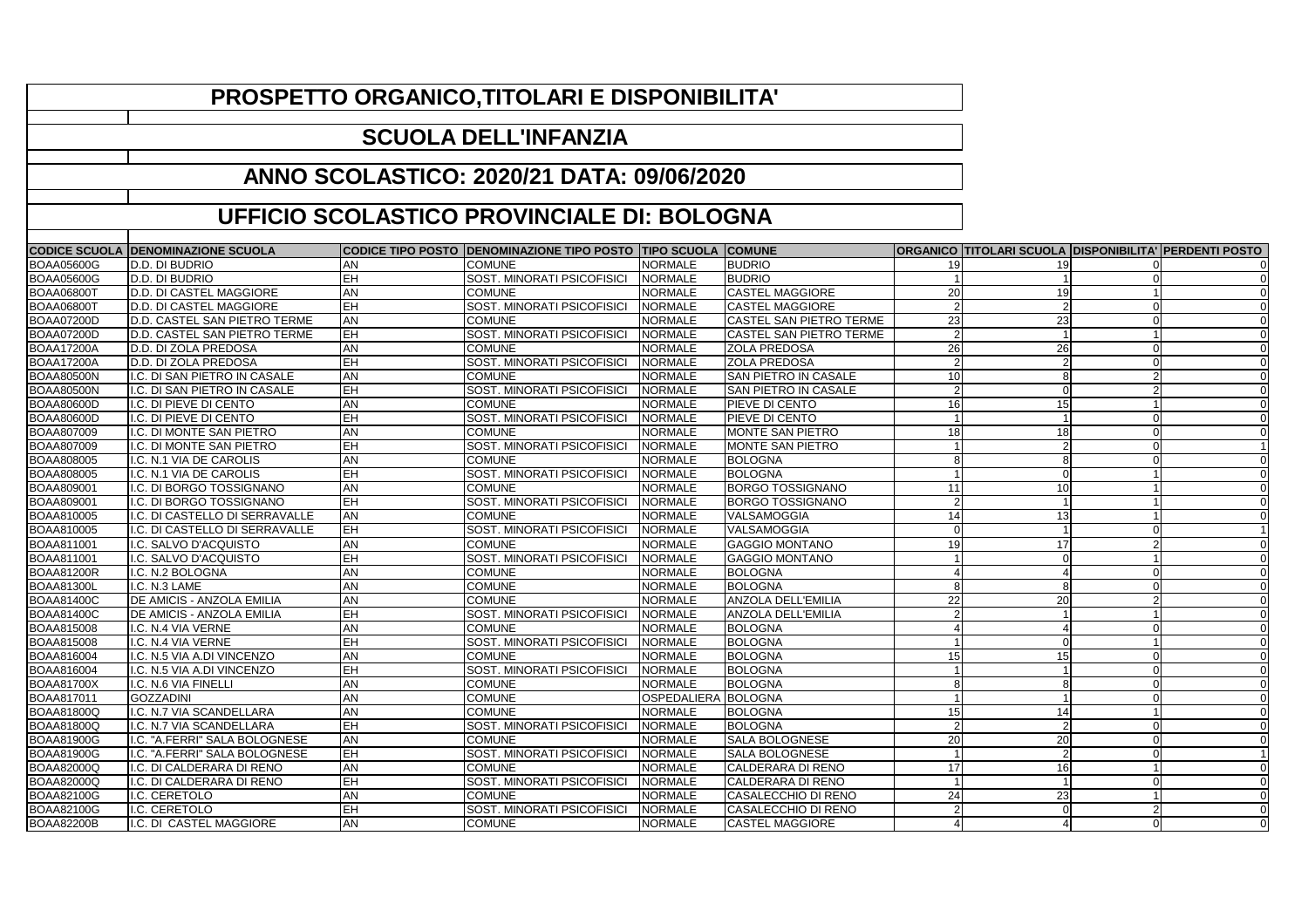|                   | <b>CODICE SCUOLA DENOMINAZIONE SCUOLA</b> |                | CODICE TIPO POSTO DENOMINAZIONE TIPO POSTO TIPO SCUOLA COMUNE |                     |                                |                 | ORGANICO   TITOLARI SCUOLA   DISPONIBILITA'   PERDENTI POSTO |                |
|-------------------|-------------------------------------------|----------------|---------------------------------------------------------------|---------------------|--------------------------------|-----------------|--------------------------------------------------------------|----------------|
| <b>BOAA05600G</b> | D.D. DI BUDRIO                            | AN             | <b>COMUNE</b>                                                 | <b>NORMALE</b>      | <b>BUDRIO</b>                  | 19              | 19                                                           |                |
| <b>BOAA05600G</b> | D.D. DI BUDRIO                            | <b>EH</b>      | SOST. MINORATI PSICOFISICI                                    | <b>NORMALE</b>      | <b>BUDRIO</b>                  |                 |                                                              |                |
| <b>BOAA06800T</b> | D.D. DI CASTEL MAGGIORE                   | <b>AN</b>      | <b>COMUNE</b>                                                 | <b>NORMALE</b>      | <b>CASTEL MAGGIORE</b>         | 20 <sub>l</sub> | 19                                                           |                |
| <b>BOAA06800T</b> | D.D. DI CASTEL MAGGIORE                   | EH             | SOST. MINORATI PSICOFISICI                                    | <b>NORMALE</b>      | <b>CASTEL MAGGIORE</b>         |                 |                                                              |                |
| <b>BOAA07200D</b> | D.D. CASTEL SAN PIETRO TERME              | <b>AN</b>      | <b>COMUNE</b>                                                 | <b>NORMALE</b>      | <b>CASTEL SAN PIETRO TERME</b> | 23              | 23                                                           |                |
| <b>BOAA07200D</b> | D.D. CASTEL SAN PIETRO TERME              | $\overline{H}$ | <b>SOST. MINORATI PSICOFISICI</b>                             | <b>NORMALE</b>      | <b>CASTEL SAN PIETRO TERME</b> |                 |                                                              |                |
| <b>BOAA17200A</b> | D.D. DI ZOLA PREDOSA                      | <b>AN</b>      | <b>COMUNE</b>                                                 | NORMALE             | <b>ZOLA PREDOSA</b>            | 26              | 26                                                           |                |
| <b>BOAA17200A</b> | D.D. DI ZOLA PREDOSA                      | EH             | SOST. MINORATI PSICOFISICI                                    | <b>INORMALE</b>     | <b>ZOLA PREDOSA</b>            |                 |                                                              |                |
| BOAA80500N        | I.C. DI SAN PIETRO IN CASALE              | <b>AN</b>      | <b>COMUNE</b>                                                 | <b>NORMALE</b>      | <b>SAN PIETRO IN CASALE</b>    | 10              |                                                              |                |
| <b>BOAA80500N</b> | I.C. DI SAN PIETRO IN CASALE              | EH             | SOST. MINORATI PSICOFISICI                                    | NORMALE             | <b>SAN PIETRO IN CASALE</b>    |                 |                                                              |                |
| <b>BOAA80600D</b> | I.C. DI PIEVE DI CENTO                    | <b>AN</b>      | <b>COMUNE</b>                                                 | NORMALE             | <b>PIEVE DI CENTO</b>          | 16              | 15                                                           |                |
| <b>BOAA80600D</b> | I.C. DI PIEVE DI CENTO                    | EH             | SOST. MINORATI PSICOFISICI                                    | <b>NORMALE</b>      | <b>PIEVE DI CENTO</b>          |                 |                                                              |                |
| <b>BOAA807009</b> | I.C. DI MONTE SAN PIETRO                  | <b>AN</b>      | <b>COMUNE</b>                                                 | NORMALE             | <b>MONTE SAN PIETRO</b>        | 18              | 18                                                           |                |
| BOAA807009        | I.C. DI MONTE SAN PIETRO                  | EH             | SOST. MINORATI PSICOFISICI                                    | <b>NORMALE</b>      | <b>MONTE SAN PIETRO</b>        |                 |                                                              |                |
| BOAA808005        | I.C. N.1 VIA DE CAROLIS                   | <b>AN</b>      | <b>COMUNE</b>                                                 | NORMALE             | <b>BOLOGNA</b>                 |                 |                                                              |                |
| BOAA808005        | I.C. N.1 VIA DE CAROLIS                   | EH             | SOST. MINORATI PSICOFISICI                                    | <b>NORMALE</b>      | <b>BOLOGNA</b>                 |                 |                                                              |                |
| BOAA809001        | I.C. DI BORGO TOSSIGNANO                  | <b>AN</b>      | <b>COMUNE</b>                                                 | <b>NORMALE</b>      | <b>BORGO TOSSIGNANO</b>        | 11              | 10 <sup>1</sup>                                              |                |
| BOAA809001        | I.C. DI BORGO TOSSIGNANO                  | EH             | SOST. MINORATI PSICOFISICI                                    | <b>NORMALE</b>      | <b>BORGO TOSSIGNANO</b>        |                 |                                                              |                |
| BOAA810005        | I.C. DI CASTELLO DI SERRAVALLE            | <b>AN</b>      | <b>COMUNE</b>                                                 | <b>NORMALE</b>      | VALSAMOGGIA                    | 14              | 13                                                           |                |
| <b>BOAA810005</b> | I.C. DI CASTELLO DI SERRAVALLE            | EH             | SOST. MINORATI PSICOFISICI                                    | <b>NORMALE</b>      | VALSAMOGGIA                    |                 |                                                              |                |
| <b>BOAA811001</b> | I.C. SALVO D'ACQUISTO                     | <b>AN</b>      | <b>COMUNE</b>                                                 | <b>NORMALE</b>      | <b>GAGGIO MONTANO</b>          | 19              | 17                                                           |                |
| <b>BOAA811001</b> | I.C. SALVO D'ACQUISTO                     | EH             | SOST. MINORATI PSICOFISICI                                    | <b>NORMALE</b>      | <b>GAGGIO MONTANO</b>          |                 |                                                              |                |
| <b>BOAA81200R</b> | I.C. N.2 BOLOGNA                          | <b>AN</b>      | <b>COMUNE</b>                                                 | NORMALE             | <b>BOLOGNA</b>                 |                 |                                                              |                |
| <b>BOAA81300L</b> | I.C. N.3 LAME                             | <b>AN</b>      | <b>COMUNE</b>                                                 | <b>NORMALE</b>      | <b>BOLOGNA</b>                 |                 |                                                              |                |
| <b>BOAA81400C</b> | <b>DE AMICIS - ANZOLA EMILIA</b>          | <b>AN</b>      | <b>COMUNE</b>                                                 | NORMALE             | <b>ANZOLA DELL'EMILIA</b>      | 22              | 20                                                           |                |
| <b>BOAA81400C</b> | <b>DE AMICIS - ANZOLA EMILIA</b>          | EH             | SOST. MINORATI PSICOFISICI                                    | <b>NORMALE</b>      | <b>ANZOLA DELL'EMILIA</b>      |                 |                                                              |                |
| <b>BOAA815008</b> | I.C. N.4 VIA VERNE                        | <b>AN</b>      | <b>COMUNE</b>                                                 | <b>NORMALE</b>      | <b>BOLOGNA</b>                 |                 |                                                              |                |
| <b>BOAA815008</b> | I.C. N.4 VIA VERNE                        | EH             | SOST. MINORATI PSICOFISICI                                    | <b>NORMALE</b>      | <b>BOLOGNA</b>                 |                 |                                                              |                |
| <b>BOAA816004</b> | I.C. N.5 VIA A.DI VINCENZO                | <b>AN</b>      | <b>COMUNE</b>                                                 | <b>NORMALE</b>      | <b>BOLOGNA</b>                 | 15 <sup>1</sup> |                                                              |                |
| BOAA816004        | I.C. N.5 VIA A.DI VINCENZO                | EH             | SOST. MINORATI PSICOFISICI                                    | <b>NORMALE</b>      | <b>BOLOGNA</b>                 |                 |                                                              |                |
| <b>BOAA81700X</b> | I.C. N.6 VIA FINELLI                      | <b>AN</b>      | <b>COMUNE</b>                                                 | <b>NORMALE</b>      | <b>BOLOGNA</b>                 |                 |                                                              |                |
| <b>BOAA817011</b> | <b>GOZZADINI</b>                          | <b>AN</b>      | <b>COMUNE</b>                                                 | OSPEDALIERA BOLOGNA |                                |                 |                                                              | 0              |
| <b>BOAA81800Q</b> | I.C. N.7 VIA SCANDELLARA                  | <b>AN</b>      | <b>COMUNE</b>                                                 | NORMALE             | <b>BOLOGNA</b>                 | 15              |                                                              |                |
| <b>BOAA81800Q</b> | I.C. N.7 VIA SCANDELLARA                  | EH             | <b>SOST. MINORATI PSICOFISICI</b>                             | NORMALE             | BOLOGNA                        |                 |                                                              |                |
| <b>BOAA81900G</b> | I.C. "A.FERRI" SALA BOLOGNESE             | <b>AN</b>      | <b>COMUNE</b>                                                 | NORMALE             | <b>SALA BOLOGNESE</b>          | 20              | 20                                                           |                |
| <b>BOAA81900G</b> | I.C. "A.FERRI" SALA BOLOGNESE             | EH             | SOST. MINORATI PSICOFISICI                                    | <b>NORMALE</b>      | <b>SALA BOLOGNESE</b>          |                 |                                                              |                |
| <b>BOAA82000Q</b> | I.C. DI CALDERARA DI RENO                 | <b>AN</b>      | <b>COMUNE</b>                                                 | NORMALE             | CALDERARA DI RENO              | 17 <sup>1</sup> | 16                                                           |                |
| <b>BOAA82000Q</b> | I.C. DI CALDERARA DI RENO                 | EH             | <b>SOST. MINORATI PSICOFISICI</b>                             | NORMALE             | CALDERARA DI RENO              |                 |                                                              | $\overline{0}$ |
| <b>BOAA82100G</b> | I.C. CERETOLO                             | <b>AN</b>      | <b>COMUNE</b>                                                 | NORMALE             | CASALECCHIO DI RENO            | 24              | 23                                                           |                |
| <b>BOAA82100G</b> | I.C. CERETOLO                             | EH             | SOST. MINORATI PSICOFISICI                                    | NORMALE             | CASALECCHIO DI RENO            |                 |                                                              |                |
| <b>BOAA82200B</b> | I.C. DI CASTEL MAGGIORE                   | <b>AN</b>      | <b>COMUNE</b>                                                 | NORMALE             | <b>CASTEL MAGGIORE</b>         |                 |                                                              | 0              |

## **PROSPETTO ORGANICO,TITOLARI E DISPONIBILITA'**

## **SCUOLA DELL'INFANZIA**

## **ANNO SCOLASTICO: 2020/21 DATA: 09/06/2020**

## **UFFICIO SCOLASTICO PROVINCIALE DI: BOLOGNA**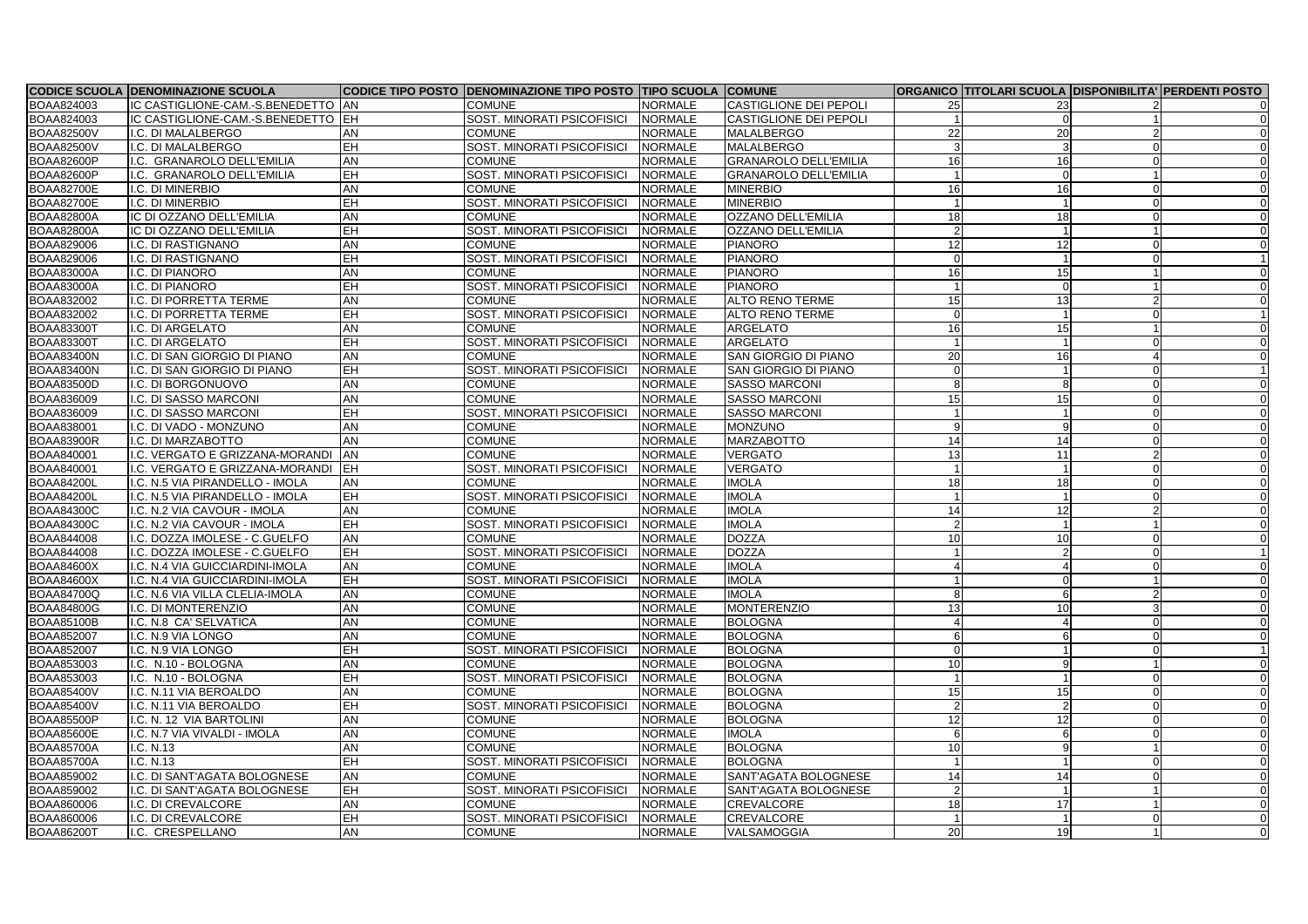|                   | <b>CODICE SCUOLA DENOMINAZIONE SCUOLA</b> |                         | CODICE TIPO POSTO DENOMINAZIONE TIPO POSTO TIPO SCUOLA COMUNE |                |                               |                 | ORGANICO   TITOLARI SCUOLA   DISPONIBILITA'   PERDENTI POSTO |   |                |
|-------------------|-------------------------------------------|-------------------------|---------------------------------------------------------------|----------------|-------------------------------|-----------------|--------------------------------------------------------------|---|----------------|
| <b>BOAA824003</b> | IC CASTIGLIONE-CAM.-S.BENEDETTO  AN       |                         | <b>COMUNE</b>                                                 | <b>NORMALE</b> | <b>CASTIGLIONE DEI PEPOLI</b> |                 |                                                              |   |                |
| BOAA824003        | IC CASTIGLIONE-CAM.-S.BENEDETTO EH        |                         | SOST. MINORATI PSICOFISICI                                    | NORMALE        | <b>CASTIGLIONE DEI PEPOLI</b> |                 |                                                              |   |                |
| <b>BOAA82500V</b> | I.C. DI MALALBERGO                        | AN                      | <b>COMUNE</b>                                                 | <b>NORMALE</b> | <b>MALALBERGO</b>             | 22              | 20                                                           |   |                |
| <b>BOAA82500V</b> | I.C. DI MALALBERGO                        | EH                      | SOST. MINORATI PSICOFISICI                                    | <b>NORMALE</b> | <b>MALALBERGO</b>             |                 |                                                              |   |                |
| <b>BOAA82600P</b> | I.C. GRANAROLO DELL'EMILIA                | <b>AN</b>               | <b>COMUNE</b>                                                 | NORMALE        | <b>GRANAROLO DELL'EMILIA</b>  | 16              | 16                                                           |   | $\Omega$       |
| <b>BOAA82600P</b> | I.C. GRANAROLO DELL'EMILIA                | <b>IEH</b>              | SOST. MINORATI PSICOFISICI                                    | <b>NORMALE</b> | <b>GRANAROLO DELL'EMILIA</b>  |                 |                                                              |   |                |
| <b>BOAA82700E</b> | I.C. DI MINERBIO                          | AN                      | <b>COMUNE</b>                                                 | <b>NORMALE</b> | <b>MINERBIO</b>               | 16              | 16                                                           |   |                |
| <b>BOAA82700E</b> | I.C. DI MINERBIO                          | EH                      | SOST. MINORATI PSICOFISICI                                    | <b>NORMALE</b> | <b>MINERBIO</b>               |                 |                                                              |   |                |
| <b>BOAA82800A</b> | IC DI OZZANO DELL'EMILIA                  | AN                      | <b>COMUNE</b>                                                 | <b>NORMALE</b> | <b>OZZANO DELL'EMILIA</b>     | 18              | 18                                                           |   |                |
| <b>BOAA82800A</b> | IC DI OZZANO DELL'EMILIA                  | EH                      | SOST. MINORATI PSICOFISICI                                    | NORMALE        | <b>OZZANO DELL'EMILIA</b>     |                 |                                                              |   |                |
| BOAA829006        | I.C. DI RASTIGNANO                        | <b>AN</b>               | <b>COMUNE</b>                                                 | NORMALE        | <b>PIANORO</b>                | 12              | 12                                                           |   |                |
| BOAA829006        | I.C. DI RASTIGNANO                        | EH                      | SOST. MINORATI PSICOFISICI                                    | NORMALE        | <b>PIANORO</b>                |                 |                                                              |   |                |
| <b>BOAA83000A</b> | I.C. DI PIANORO                           | AN                      | <b>COMUNE</b>                                                 | <b>NORMALE</b> | <b>PIANORO</b>                | 16              | 15                                                           |   |                |
| <b>BOAA83000A</b> | I.C. DI PIANORO                           | EH                      | SOST. MINORATI PSICOFISICI                                    | <b>NORMALE</b> | <b>PIANORO</b>                |                 |                                                              |   |                |
| BOAA832002        | I.C. DI PORRETTA TERME                    | AN                      | <b>COMUNE</b>                                                 | <b>NORMALE</b> | <b>ALTO RENO TERME</b>        | 15 <sup>1</sup> | 13                                                           |   |                |
| BOAA832002        | I.C. DI PORRETTA TERME                    | EH                      | SOST. MINORATI PSICOFISICI                                    | <b>NORMALE</b> | <b>ALTO RENO TERME</b>        |                 |                                                              |   |                |
| <b>BOAA83300T</b> | I.C. DI ARGELATO                          | AN                      | <b>COMUNE</b>                                                 | <b>NORMALE</b> | <b>ARGELATO</b>               | 16              | 15                                                           |   |                |
| <b>BOAA83300T</b> | I.C. DI ARGELATO                          | EH                      | SOST. MINORATI PSICOFISICI                                    | NORMALE        | <b>ARGELATO</b>               |                 |                                                              |   |                |
| <b>BOAA83400N</b> | I.C. DI SAN GIORGIO DI PIANO              | AN                      | <b>COMUNE</b>                                                 | <b>NORMALE</b> | <b>SAN GIORGIO DI PIANO</b>   | 20              | 16                                                           |   |                |
| <b>BOAA83400N</b> | I.C. DI SAN GIORGIO DI PIANO              | EH                      | SOST. MINORATI PSICOFISICI                                    | NORMALE        | <b>SAN GIORGIO DI PIANO</b>   |                 |                                                              |   |                |
| <b>BOAA83500D</b> | I.C. DI BORGONUOVO                        | AN                      | <b>COMUNE</b>                                                 | <b>NORMALE</b> | <b>SASSO MARCONI</b>          |                 |                                                              |   |                |
| <b>BOAA836009</b> | I.C. DI SASSO MARCONI                     | AN                      | <b>COMUNE</b>                                                 | <b>NORMALE</b> | <b>SASSO MARCONI</b>          | 15              | 15                                                           |   |                |
| BOAA836009        | I.C. DI SASSO MARCONI                     | EH                      | SOST. MINORATI PSICOFISICI                                    | NORMALE        | <b>SASSO MARCONI</b>          |                 |                                                              |   |                |
| BOAA838001        | I.C. DI VADO - MONZUNO                    | AN                      | <b>COMUNE</b>                                                 | <b>NORMALE</b> | <b>MONZUNO</b>                |                 |                                                              |   |                |
| <b>BOAA83900R</b> | I.C. DI MARZABOTTO                        | AN                      | <b>COMUNE</b>                                                 | <b>NORMALE</b> | <b>MARZABOTTO</b>             | 14              | 14                                                           |   |                |
| <b>BOAA840001</b> | I.C. VERGATO E GRIZZANA-MORANDI           | <b>AN</b>               | <b>COMUNE</b>                                                 | <b>NORMALE</b> | <b>VERGATO</b>                | 13              | 11                                                           |   |                |
| BOAA840001        | I.C. VERGATO E GRIZZANA-MORANDI           | <b>IEH</b>              | SOST. MINORATI PSICOFISICI                                    | NORMALE        | <b>VERGATO</b>                |                 |                                                              |   |                |
| <b>BOAA84200L</b> | I.C. N.5 VIA PIRANDELLO - IMOLA           | <b>AN</b>               | <b>COMUNE</b>                                                 | <b>NORMALE</b> | <b>IMOLA</b>                  | 18              | 18                                                           |   |                |
| <b>BOAA84200L</b> | I.C. N.5 VIA PIRANDELLO - IMOLA           | <b>EH</b>               | SOST. MINORATI PSICOFISICI                                    | NORMALE        | <b>IMOLA</b>                  |                 |                                                              |   |                |
| <b>BOAA84300C</b> | I.C. N.2 VIA CAVOUR - IMOLA               | AN                      | <b>COMUNE</b>                                                 | <b>NORMALE</b> | <b>IMOLA</b>                  | 14              | 12                                                           |   |                |
| <b>BOAA84300C</b> | I.C. N.2 VIA CAVOUR - IMOLA               | EH                      | SOST. MINORATI PSICOFISICI                                    | NORMALE        | <b>IMOLA</b>                  |                 |                                                              |   |                |
| BOAA844008        | I.C. DOZZA IMOLESE - C.GUELFO             | <b>AN</b>               | <b>COMUNE</b>                                                 | <b>NORMALE</b> | <b>DOZZA</b>                  | 10              | 10                                                           |   |                |
| BOAA844008        | I.C. DOZZA IMOLESE - C.GUELFO             | <b>IEH</b>              | SOST. MINORATI PSICOFISICI                                    | <b>NORMALE</b> | <b>DOZZA</b>                  |                 |                                                              |   |                |
| <b>BOAA84600X</b> | I.C. N.4 VIA GUICCIARDINI-IMOLA           | <b>AN</b>               | <b>COMUNE</b>                                                 | <b>NORMALE</b> | <b>IMOLA</b>                  |                 |                                                              |   |                |
| <b>BOAA84600X</b> | I.C. N.4 VIA GUICCIARDINI-IMOLA           | <b>IEH</b>              | SOST. MINORATI PSICOFISICI                                    | <b>NORMALE</b> | <b>IMOLA</b>                  |                 |                                                              |   |                |
| <b>BOAA84700Q</b> | I.C. N.6 VIA VILLA CLELIA-IMOLA           | <b>AN</b>               | <b>COMUNE</b>                                                 | NORMALE        | <b>IMOLA</b>                  | 8               | 6                                                            | 2 | 0              |
| <b>BOAA84800G</b> | I.C. DI MONTERENZIO                       | AN                      | <b>COMUNE</b>                                                 | <b>NORMALE</b> | <b>MONTERENZIO</b>            | 13              | 10                                                           |   |                |
| <b>BOAA85100B</b> | I.C. N.8 CA' SELVATICA                    | <b>AN</b>               | <b>COMUNE</b>                                                 | <b>NORMALE</b> | <b>BOLOGNA</b>                |                 |                                                              |   | 0              |
| <b>BOAA852007</b> | I.C. N.9 VIA LONGO                        | AN                      | <b>COMUNE</b>                                                 | <b>NORMALE</b> | <b>BOLOGNA</b>                |                 |                                                              |   | $\Omega$       |
| <b>BOAA852007</b> | I.C. N.9 VIA LONGO                        | EH                      | SOST. MINORATI PSICOFISICI                                    | NORMALE        | <b>BOLOGNA</b>                |                 |                                                              |   |                |
| BOAA853003        | I.C. N.10 - BOLOGNA                       | AN                      | <b>COMUNE</b>                                                 | <b>NORMALE</b> | <b>BOLOGNA</b>                | 10              | 9                                                            |   | 0              |
| <b>BOAA853003</b> | I.C. N.10 - BOLOGNA                       | EH                      | <b>SOST. MINORATI PSICOFISICI</b>                             | <b>NORMALE</b> | <b>BOLOGNA</b>                |                 |                                                              |   | 0              |
| <b>BOAA85400V</b> | I.C. N.11 VIA BEROALDO                    | AN                      | <b>COMUNE</b>                                                 | <b>NORMALE</b> | <b>BOLOGNA</b>                | 15              | 15                                                           |   |                |
| <b>BOAA85400V</b> | I.C. N.11 VIA BEROALDO                    | $\overline{\mathsf{H}}$ | <b>SOST. MINORATI PSICOFISICI</b>                             | NORMALE        | <b>BOLOGNA</b>                |                 |                                                              |   | 01             |
| <b>BOAA85500P</b> | I.C. N. 12 VIA BARTOLINI                  | AN                      | <b>COMUNE</b>                                                 | <b>NORMALE</b> | <b>BOLOGNA</b>                | 12              | 12                                                           |   | 0l             |
| <b>BOAA85600E</b> | I.C. N.7 VIA VIVALDI - IMOLA              | <b>AN</b>               | <b>COMUNE</b>                                                 | <b>NORMALE</b> | <b>IMOLA</b>                  |                 |                                                              |   |                |
| <b>BOAA85700A</b> | I.C. N.13                                 | <b>AN</b>               | <b>COMUNE</b>                                                 | <b>NORMALE</b> | <b>BOLOGNA</b>                | 10              |                                                              |   |                |
| <b>BOAA85700A</b> | I.C. N.13                                 | <b>EH</b>               | SOST. MINORATI PSICOFISICI                                    | NORMALE        | <b>BOLOGNA</b>                |                 |                                                              |   |                |
| <b>BOAA859002</b> | I.C. DI SANT'AGATA BOLOGNESE              | <b>AN</b>               | <b>COMUNE</b>                                                 | <b>NORMALE</b> | <b>SANT'AGATA BOLOGNESE</b>   | 14              | 14                                                           |   |                |
| BOAA859002        | I.C. DI SANT'AGATA BOLOGNESE              | EH                      | SOST. MINORATI PSICOFISICI                                    | NORMALE        | SANT'AGATA BOLOGNESE          | ົ               |                                                              |   |                |
| BOAA860006        | I.C. DI CREVALCORE                        | <b>AN</b>               | <b>COMUNE</b>                                                 | <b>NORMALE</b> | <b>CREVALCORE</b>             | 18              | 17                                                           |   |                |
| BOAA860006        | I.C. DI CREVALCORE                        | $\overline{H}$          | SOST. MINORATI PSICOFISICI                                    | NORMALE        | <b>CREVALCORE</b>             |                 |                                                              |   | $\overline{0}$ |
| <b>BOAA86200T</b> | I.C. CRESPELLANO                          | <b>AN</b>               | <b>COMUNE</b>                                                 | <b>NORMALE</b> | VALSAMOGGIA                   | 20              | 19                                                           |   | $\Omega$       |
|                   |                                           |                         |                                                               |                |                               |                 |                                                              |   |                |